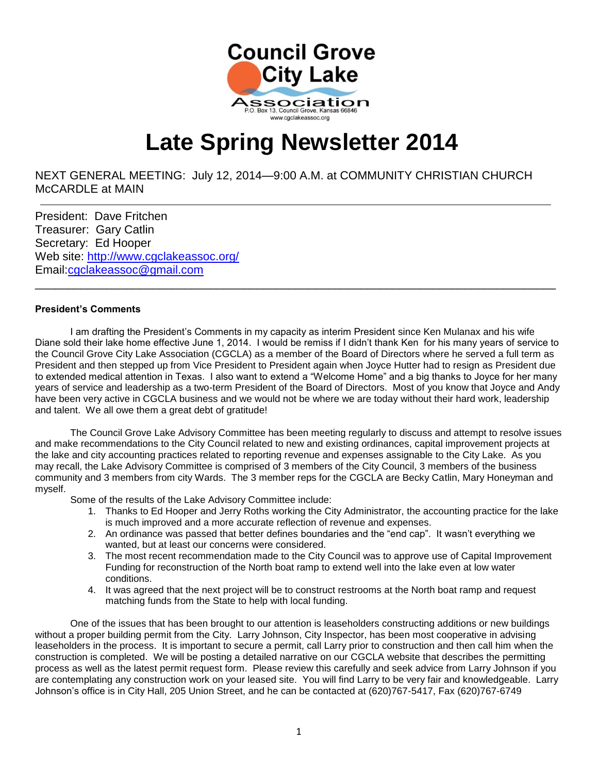

# **Late Spring Newsletter 2014**

NEXT GENERAL MEETING: July 12, 2014—9:00 A.M. at COMMUNITY CHRISTIAN CHURCH McCARDLE at MAIN

President: Dave Fritchen Treasurer: Gary Catlin Secretary: Ed Hooper Web site:<http://www.cgclakeassoc.org/> Email[:cgclakeassoc@gmail.com](mailto:cgclakeassoc@gmail.com) 

 $\overline{a}$ 

#### **President's Comments**

I am drafting the President's Comments in my capacity as interim President since Ken Mulanax and his wife Diane sold their lake home effective June 1, 2014. I would be remiss if I didn't thank Ken for his many years of service to the Council Grove City Lake Association (CGCLA) as a member of the Board of Directors where he served a full term as President and then stepped up from Vice President to President again when Joyce Hutter had to resign as President due to extended medical attention in Texas. I also want to extend a "Welcome Home" and a big thanks to Joyce for her many years of service and leadership as a two-term President of the Board of Directors. Most of you know that Joyce and Andy have been very active in CGCLA business and we would not be where we are today without their hard work, leadership and talent. We all owe them a great debt of gratitude!

\_\_\_\_\_\_\_\_\_\_\_\_\_\_\_\_\_\_\_\_\_\_\_\_\_\_\_\_\_\_\_\_\_\_\_\_\_\_\_\_\_\_\_\_\_\_\_\_\_\_\_\_\_\_\_\_\_\_\_\_\_\_\_\_\_\_\_\_\_\_\_\_\_\_\_\_\_\_\_\_

The Council Grove Lake Advisory Committee has been meeting regularly to discuss and attempt to resolve issues and make recommendations to the City Council related to new and existing ordinances, capital improvement projects at the lake and city accounting practices related to reporting revenue and expenses assignable to the City Lake. As you may recall, the Lake Advisory Committee is comprised of 3 members of the City Council, 3 members of the business community and 3 members from city Wards. The 3 member reps for the CGCLA are Becky Catlin, Mary Honeyman and myself.

Some of the results of the Lake Advisory Committee include:

- 1. Thanks to Ed Hooper and Jerry Roths working the City Administrator, the accounting practice for the lake is much improved and a more accurate reflection of revenue and expenses.
- 2. An ordinance was passed that better defines boundaries and the "end cap". It wasn't everything we wanted, but at least our concerns were considered.
- 3. The most recent recommendation made to the City Council was to approve use of Capital Improvement Funding for reconstruction of the North boat ramp to extend well into the lake even at low water conditions.
- 4. It was agreed that the next project will be to construct restrooms at the North boat ramp and request matching funds from the State to help with local funding.

One of the issues that has been brought to our attention is leaseholders constructing additions or new buildings without a proper building permit from the City. Larry Johnson, City Inspector, has been most cooperative in advising leaseholders in the process. It is important to secure a permit, call Larry prior to construction and then call him when the construction is completed. We will be posting a detailed narrative on our CGCLA website that describes the permitting process as well as the latest permit request form. Please review this carefully and seek advice from Larry Johnson if you are contemplating any construction work on your leased site. You will find Larry to be very fair and knowledgeable. Larry Johnson's office is in City Hall, 205 Union Street, and he can be contacted at (620)767-5417, Fax (620)767-6749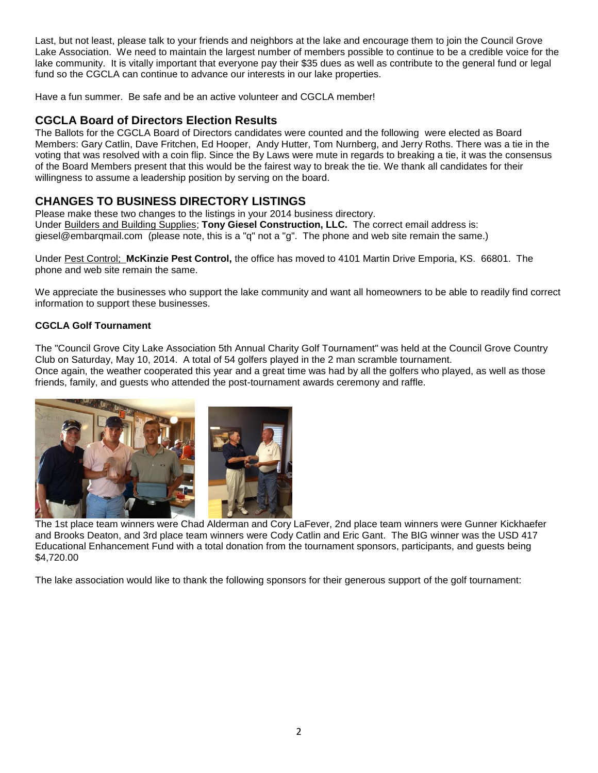Last, but not least, please talk to your friends and neighbors at the lake and encourage them to join the Council Grove Lake Association. We need to maintain the largest number of members possible to continue to be a credible voice for the lake community. It is vitally important that everyone pay their \$35 dues as well as contribute to the general fund or legal fund so the CGCLA can continue to advance our interests in our lake properties.

Have a fun summer. Be safe and be an active volunteer and CGCLA member!

# **CGCLA Board of Directors Election Results**

The Ballots for the CGCLA Board of Directors candidates were counted and the following were elected as Board Members: Gary Catlin, Dave Fritchen, Ed Hooper, Andy Hutter, Tom Nurnberg, and Jerry Roths. There was a tie in the voting that was resolved with a coin flip. Since the By Laws were mute in regards to breaking a tie, it was the consensus of the Board Members present that this would be the fairest way to break the tie. We thank all candidates for their willingness to assume a leadership position by serving on the board.

# **CHANGES TO BUSINESS DIRECTORY LISTINGS**

Please make these two changes to the listings in your 2014 business directory. Under Builders and Building Supplies; **Tony Giesel Construction, LLC.** The correct email address is: giesel@embarqmail.com (please note, this is a "q" not a "g". The phone and web site remain the same.)

Under Pest Control; **McKinzie Pest Control,** the office has moved to 4101 Martin Drive Emporia, KS. 66801. The phone and web site remain the same.

We appreciate the businesses who support the lake community and want all homeowners to be able to readily find correct information to support these businesses.

## **CGCLA Golf Tournament**

The "Council Grove City Lake Association 5th Annual Charity Golf Tournament" was held at the Council Grove Country Club on Saturday, May 10, 2014. A total of 54 golfers played in the 2 man scramble tournament. Once again, the weather cooperated this year and a great time was had by all the golfers who played, as well as those friends, family, and guests who attended the post-tournament awards ceremony and raffle.



The 1st place team winners were Chad Alderman and Cory LaFever, 2nd place team winners were Gunner Kickhaefer and Brooks Deaton, and 3rd place team winners were Cody Catlin and Eric Gant. The BIG winner was the USD 417 Educational Enhancement Fund with a total donation from the tournament sponsors, participants, and guests being \$4,720.00

The lake association would like to thank the following sponsors for their generous support of the golf tournament: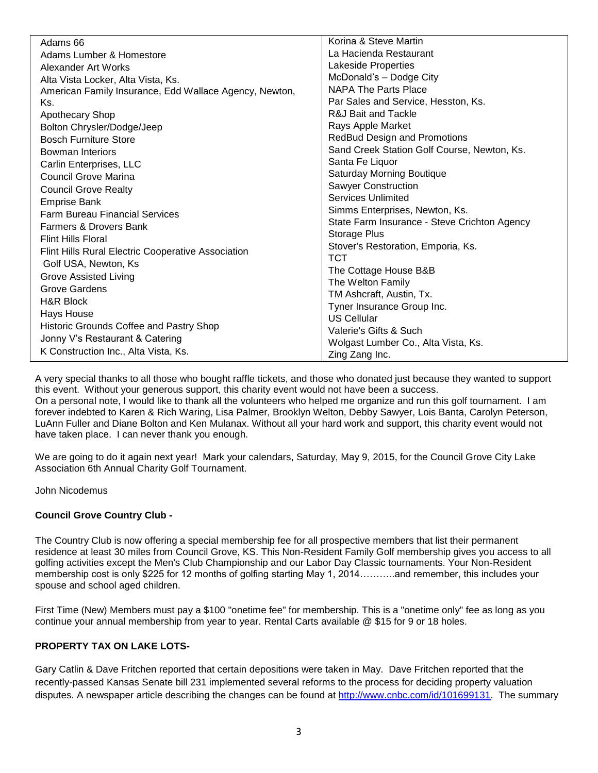| Adams 66                                               | Korina & Steve Martin                        |
|--------------------------------------------------------|----------------------------------------------|
| Adams Lumber & Homestore                               | La Hacienda Restaurant                       |
| Alexander Art Works                                    | Lakeside Properties                          |
| Alta Vista Locker, Alta Vista, Ks.                     | McDonald's - Dodge City                      |
| American Family Insurance, Edd Wallace Agency, Newton, | NAPA The Parts Place                         |
| Ks.                                                    | Par Sales and Service, Hesston, Ks.          |
| Apothecary Shop                                        | R&J Bait and Tackle                          |
| Bolton Chrysler/Dodge/Jeep                             | Rays Apple Market                            |
| <b>Bosch Furniture Store</b>                           | <b>RedBud Design and Promotions</b>          |
| <b>Bowman Interiors</b>                                | Sand Creek Station Golf Course, Newton, Ks.  |
| Carlin Enterprises, LLC                                | Santa Fe Liquor                              |
| <b>Council Grove Marina</b>                            | Saturday Morning Boutique                    |
| <b>Council Grove Realty</b>                            | <b>Sawyer Construction</b>                   |
| <b>Emprise Bank</b>                                    | Services Unlimited                           |
| <b>Farm Bureau Financial Services</b>                  | Simms Enterprises, Newton, Ks.               |
| Farmers & Drovers Bank                                 | State Farm Insurance - Steve Crichton Agency |
|                                                        | Storage Plus                                 |
| <b>Flint Hills Floral</b>                              | Stover's Restoration, Emporia, Ks.           |
| Flint Hills Rural Electric Cooperative Association     | <b>TCT</b>                                   |
| Golf USA, Newton, Ks                                   | The Cottage House B&B                        |
| <b>Grove Assisted Living</b>                           | The Welton Family                            |
| <b>Grove Gardens</b>                                   | TM Ashcraft, Austin, Tx.                     |
| <b>H&amp;R Block</b>                                   | Tyner Insurance Group Inc.                   |
| Hays House                                             | <b>US Cellular</b>                           |
| Historic Grounds Coffee and Pastry Shop                | Valerie's Gifts & Such                       |
| Jonny V's Restaurant & Catering                        | Wolgast Lumber Co., Alta Vista, Ks.          |
| K Construction Inc., Alta Vista, Ks.                   | Zing Zang Inc.                               |

A very special thanks to all those who bought raffle tickets, and those who donated just because they wanted to support this event. Without your generous support, this charity event would not have been a success. On a personal note, I would like to thank all the volunteers who helped me organize and run this golf tournament. I am forever indebted to Karen & Rich Waring, Lisa Palmer, Brooklyn Welton, Debby Sawyer, Lois Banta, Carolyn Peterson, LuAnn Fuller and Diane Bolton and Ken Mulanax. Without all your hard work and support, this charity event would not have taken place. I can never thank you enough.

We are going to do it again next year! Mark your calendars, Saturday, May 9, 2015, for the Council Grove City Lake Association 6th Annual Charity Golf Tournament.

John Nicodemus

#### **Council Grove Country Club -**

The Country Club is now offering a special membership fee for all prospective members that list their permanent residence at least 30 miles from Council Grove, KS. This Non-Resident Family Golf membership gives you access to all golfing activities except the Men's Club Championship and our Labor Day Classic tournaments. Your Non-Resident membership cost is only \$225 for 12 months of golfing starting May 1, 2014………..and remember, this includes your spouse and school aged children.

First Time (New) Members must pay a \$100 "onetime fee" for membership. This is a "onetime only" fee as long as you continue your annual membership from year to year. Rental Carts available @ \$15 for 9 or 18 holes.

#### **PROPERTY TAX ON LAKE LOTS-**

Gary Catlin & Dave Fritchen reported that certain depositions were taken in May. Dave Fritchen reported that the recently-passed Kansas Senate bill 231 implemented several reforms to the process for deciding property valuation disputes. A newspaper article describing the changes can be found at [http://www.cnbc.com/id/101699131.](http://www.cnbc.com/id/101699131) The summary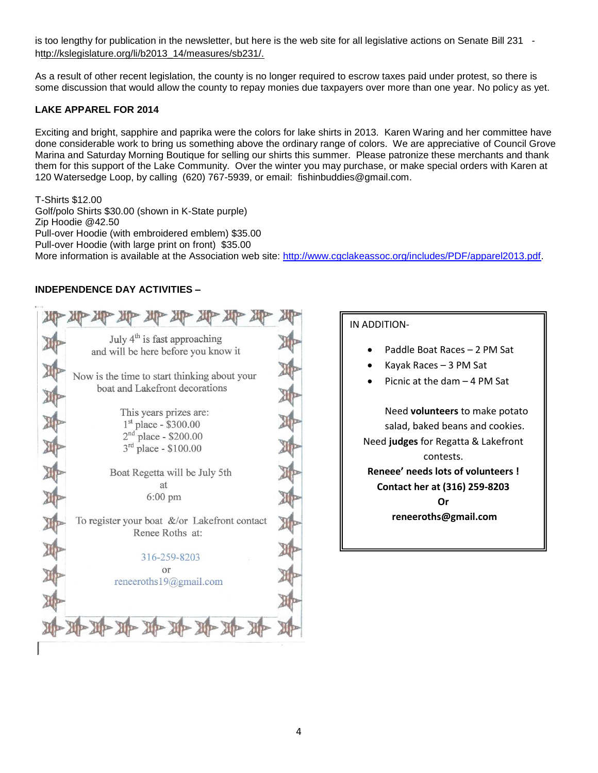is too lengthy for publication in the newsletter, but here is the web site for all legislative actions on Senate Bill 231 http://kslegislature.org/li/b2013\_14/measures/sb231/.

As a result of other recent legislation, the county is no longer required to escrow taxes paid under protest, so there is some discussion that would allow the county to repay monies due taxpayers over more than one year. No policy as yet.

# **LAKE APPAREL FOR 2014**

Exciting and bright, sapphire and paprika were the colors for lake shirts in 2013. Karen Waring and her committee have done considerable work to bring us something above the ordinary range of colors. We are appreciative of Council Grove Marina and Saturday Morning Boutique for selling our shirts this summer. Please patronize these merchants and thank them for this support of the Lake Community. Over the winter you may purchase, or make special orders with Karen at 120 Watersedge Loop, by calling (620) 767-5939, or email: fishinbuddies@gmail.com.

T-Shirts \$12.00 Golf/polo Shirts \$30.00 (shown in K-State purple) Zip Hoodie @42.50 Pull-over Hoodie (with embroidered emblem) \$35.00 Pull-over Hoodie (with large print on front) \$35.00 More information is available at the Association web site: [http://www.cgclakeassoc.org/includes/PDF/apparel2013.pdf.](http://www.cgclakeassoc.org/includes/PDF/apparel2013.pdf)

## **INDEPENDENCE DAY ACTIVITIES –**



# IN ADDITION-

- Paddle Boat Races 2 PM Sat
- Kayak Races 3 PM Sat
- Picnic at the dam 4 PM Sat

Need **volunteers** to make potato salad, baked beans and cookies. Need **judges** for Regatta & Lakefront contests. **Reneee' needs lots of volunteers ! Contact her at (316) 259-8203 Or reneeroths@gmail.com**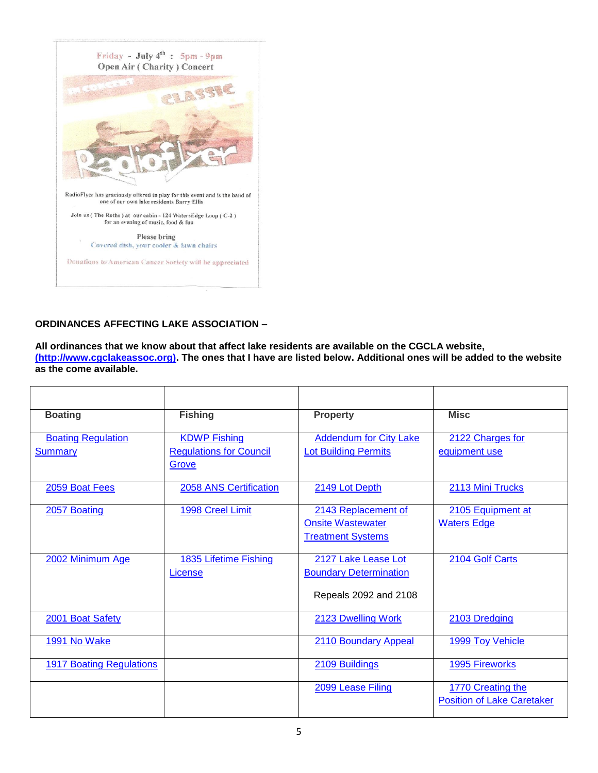

# **ORDINANCES AFFECTING LAKE ASSOCIATION –**

**All ordinances that we know about that affect lake residents are available on the CGCLA website, [\(http://www.cgclakeassoc.org\).]((http:/www.cgclakeassoc.org)) The ones that I have are listed below. Additional ones will be added to the website as the come available.**

| <b>Boating</b>                              | <b>Fishing</b>                                                 | <b>Property</b>                                                               | <b>Misc</b>                                            |
|---------------------------------------------|----------------------------------------------------------------|-------------------------------------------------------------------------------|--------------------------------------------------------|
| <b>Boating Regulation</b><br><b>Summary</b> | <b>KDWP Fishing</b><br><b>Regulations for Council</b><br>Grove | <b>Addendum for City Lake</b><br><b>Lot Building Permits</b>                  | 2122 Charges for<br>equipment use                      |
| 2059 Boat Fees                              | 2058 ANS Certification                                         | 2149 Lot Depth                                                                | 2113 Mini Trucks                                       |
| 2057 Boating                                | 1998 Creel Limit                                               | 2143 Replacement of<br><b>Onsite Wastewater</b><br><b>Treatment Systems</b>   | 2105 Equipment at<br><b>Waters Edge</b>                |
| 2002 Minimum Age                            | 1835 Lifetime Fishing<br>License                               | 2127 Lake Lease Lot<br><b>Boundary Determination</b><br>Repeals 2092 and 2108 | 2104 Golf Carts                                        |
| 2001 Boat Safety                            |                                                                | 2123 Dwelling Work                                                            | 2103 Dredging                                          |
| 1991 No Wake                                |                                                                | 2110 Boundary Appeal                                                          | 1999 Toy Vehicle                                       |
| <b>1917 Boating Regulations</b>             |                                                                | 2109 Buildings                                                                | <b>1995 Fireworks</b>                                  |
|                                             |                                                                | 2099 Lease Filing                                                             | 1770 Creating the<br><b>Position of Lake Caretaker</b> |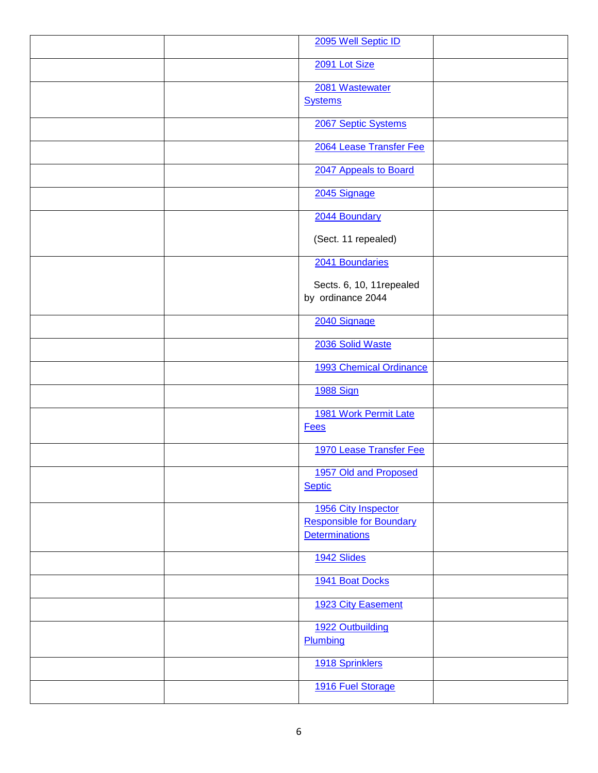| 2095 Well Septic ID             |
|---------------------------------|
| 2091 Lot Size                   |
|                                 |
| 2081 Wastewater                 |
| <b>Systems</b>                  |
| 2067 Septic Systems             |
| 2064 Lease Transfer Fee         |
| 2047 Appeals to Board           |
| 2045 Signage                    |
| 2044 Boundary                   |
| (Sect. 11 repealed)             |
| 2041 Boundaries                 |
| Sects. 6, 10, 11 repealed       |
| by ordinance 2044               |
| 2040 Signage                    |
| 2036 Solid Waste                |
| 1993 Chemical Ordinance         |
| <b>1988 Sign</b>                |
| 1981 Work Permit Late           |
| <b>Fees</b>                     |
| 1970 Lease Transfer Fee         |
| 1957 Old and Proposed           |
| <b>Septic</b>                   |
| 1956 City Inspector             |
| <b>Responsible for Boundary</b> |
| <b>Determinations</b>           |
| 1942 Slides                     |
| 1941 Boat Docks                 |
| 1923 City Easement              |
| 1922 Outbuilding                |
| Plumbing                        |
| 1918 Sprinklers                 |
| 1916 Fuel Storage               |
|                                 |